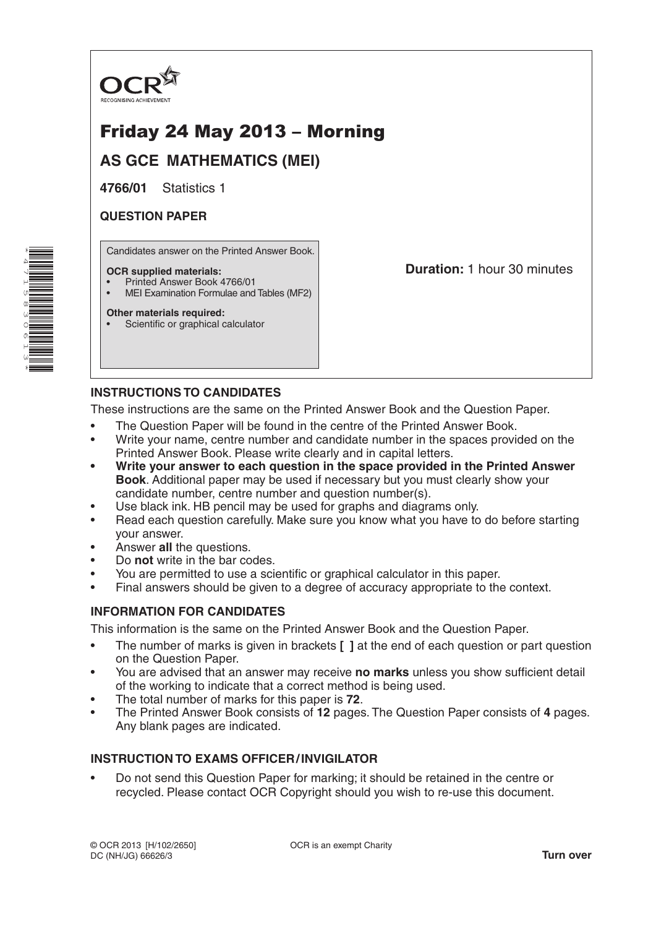

# Friday 24 May 2013 – Morning

**AS GCE MATHEMATICS (MEI)**

**4766/01** Statistics 1

# **QUESTION PAPER**

\*

\*

Candidates answer on the Printed Answer Book.

#### **OCR supplied materials:**

- Printed Answer Book 4766/01
- MEI Examination Formulae and Tables (MF2)

### **Other materials required:**

Scientific or graphical calculator

**Duration:** 1 hour 30 minutes

# **INSTRUCTIONS TO CANDIDATES**

These instructions are the same on the Printed Answer Book and the Question Paper.

- The Question Paper will be found in the centre of the Printed Answer Book.
- Write your name, centre number and candidate number in the spaces provided on the Printed Answer Book. Please write clearly and in capital letters.
- **• Write your answer to each question in the space provided in the Printed Answer Book**. Additional paper may be used if necessary but you must clearly show your candidate number, centre number and question number(s).
- Use black ink. HB pencil may be used for graphs and diagrams only.
- Read each question carefully. Make sure you know what you have to do before starting your answer.
- Answer **all** the questions.
- Do **not** write in the bar codes.
- You are permitted to use a scientific or graphical calculator in this paper.
- Final answers should be given to a degree of accuracy appropriate to the context.

## **INFORMATION FOR CANDIDATES**

This information is the same on the Printed Answer Book and the Question Paper.

- The number of marks is given in brackets **[ ]** at the end of each question or part question on the Question Paper.
- You are advised that an answer may receive **no marks** unless you show sufficient detail of the working to indicate that a correct method is being used.
- The total number of marks for this paper is **72**.
- The Printed Answer Book consists of **12** pages. The Question Paper consists of **4** pages. Any blank pages are indicated.

# **INSTRUCTION TO EXAMS OFFICER/INVIGILATOR**

• Do not send this Question Paper for marking; it should be retained in the centre or recycled. Please contact OCR Copyright should you wish to re-use this document.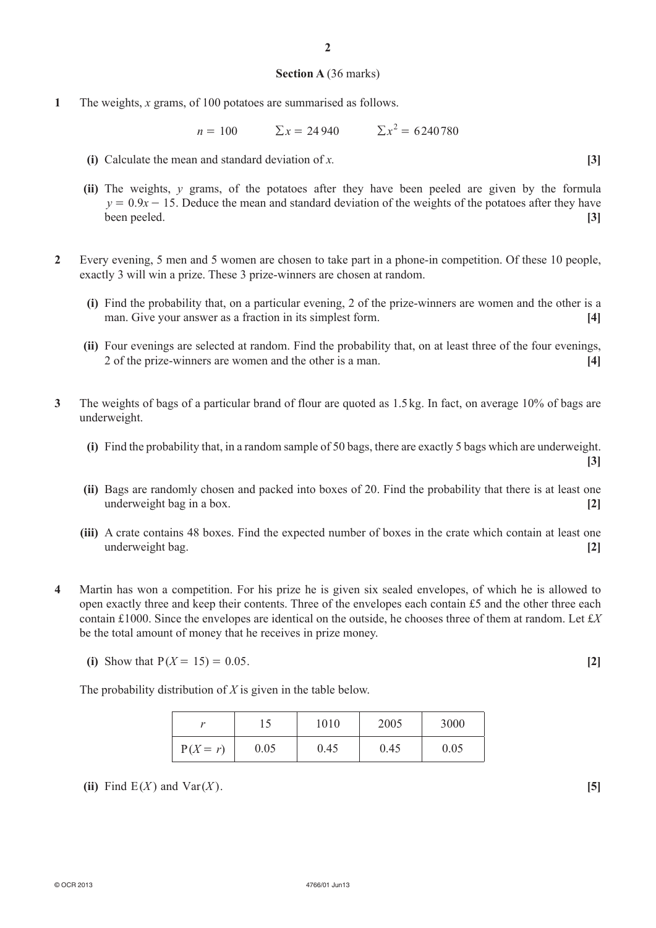#### **Section A** (36 marks)

**1** The weights, *x* grams, of 100 potatoes are summarised as follows.

 $n = 100$   $\sum x = 24940$   $\sum x^2 = 6240780$ 

- **(i)** Calculate the mean and standard deviation of *x.* **[3]**
- **(ii)** The weights, *y* grams, of the potatoes after they have been peeled are given by the formula  $y = 0.9x - 15$ . Deduce the mean and standard deviation of the weights of the potatoes after they have been peeled. **[3]**
- **2** Every evening, 5 men and 5 women are chosen to take part in a phone-in competition. Of these 10 people, exactly 3 will win a prize. These 3 prize-winners are chosen at random.
	- **(i)** Find the probability that, on a particular evening, 2 of the prize-winners are women and the other is a man. Give your answer as a fraction in its simplest form. **[4]**
	- **(ii)** Four evenings are selected at random. Find the probability that, on at least three of the four evenings, 2 of the prize-winners are women and the other is a man. **[4]**
- **3** The weights of bags of a particular brand of flour are quoted as 1.5kg. In fact, on average 10% of bags are underweight.
	- **(i)** Find the probability that, in a random sample of 50 bags, there are exactly 5 bags which are underweight. **[3]**
	- **(ii)** Bags are randomly chosen and packed into boxes of 20. Find the probability that there is at least one underweight bag in a box. **[2]**
	- **(iii)** A crate contains 48 boxes. Find the expected number of boxes in the crate which contain at least one underweight bag. **[2]**
- **4** Martin has won a competition. For his prize he is given six sealed envelopes, of which he is allowed to open exactly three and keep their contents. Three of the envelopes each contain £5 and the other three each contain £1000. Since the envelopes are identical on the outside, he chooses three of them at random. Let £*X*  be the total amount of money that he receives in prize money.
	- **(i)** Show that  $P(X = 15) = 0.05$ . [2]

The probability distribution of *X* is given in the table below.

|            | $1 \leq$ | 1010 | 2005 | 3000 |  |
|------------|----------|------|------|------|--|
| $P(X = r)$ | 0.05     | 0.45 | 0.45 | 0.05 |  |

(ii) Find  $E(X)$  and  $Var(X)$ . [5]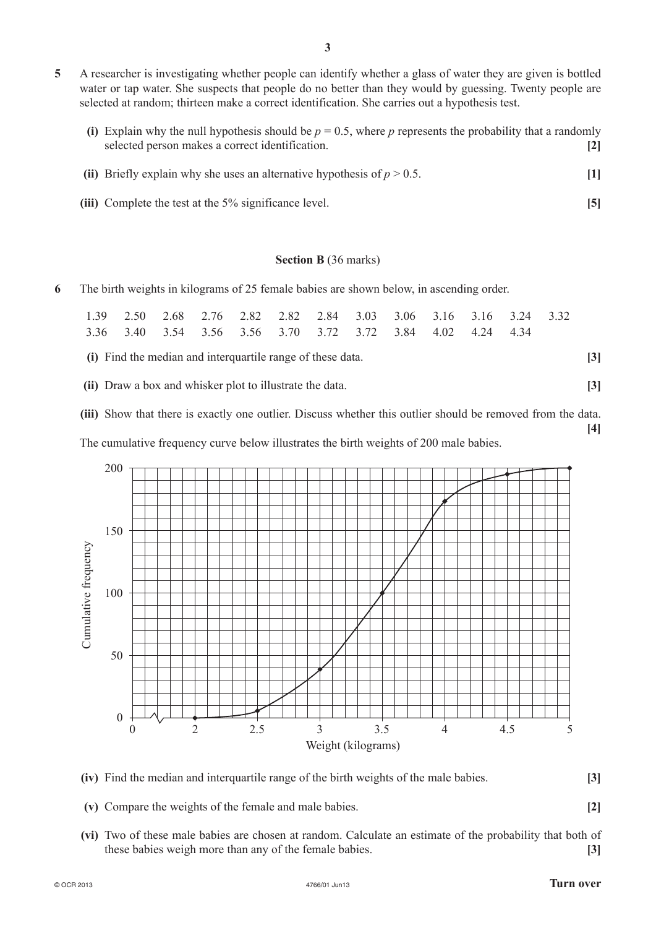- **5** A researcher is investigating whether people can identify whether a glass of water they are given is bottled water or tap water. She suspects that people do no better than they would by guessing. Twenty people are selected at random; thirteen make a correct identification. She carries out a hypothesis test.
	- (i) Explain why the null hypothesis should be  $p = 0.5$ , where  $p$  represents the probability that a randomly selected person makes a correct identification. **[2]**
	- (ii) Briefly explain why she uses an alternative hypothesis of  $p > 0.5$ . [1]
	- **(iii)** Complete the test at the 5% significance level. **[5]**

### **Section B** (36 marks)

**6** The birth weights in kilograms of 25 female babies are shown below, in ascending order.

| 1 39                                                       |  | 2.50 2.68 2.76 2.82 2.82 2.84 3.03 3.06 3.16 3.16 3.24 3.32 |  |  |  |  |  |  |       |      |  |                   |
|------------------------------------------------------------|--|-------------------------------------------------------------|--|--|--|--|--|--|-------|------|--|-------------------|
|                                                            |  | 3.36 3.40 3.54 3.56 3.56 3.70 3.72 3.72 3.84 4.02           |  |  |  |  |  |  | 4 2 4 | 4 34 |  |                   |
| (i) Find the median and interquartile range of these data. |  |                                                             |  |  |  |  |  |  | 3     |      |  |                   |
|                                                            |  | (ii) Draw a box and whisker plot to illustrate the data.    |  |  |  |  |  |  |       |      |  | $\lceil 3 \rceil$ |

**(iii)** Show that there is exactly one outlier. Discuss whether this outlier should be removed from the data. **[4]**

The cumulative frequency curve below illustrates the birth weights of 200 male babies.



- **(iv)** Find the median and interquartile range of the birth weights of the male babies. **[3]**
- **(v)** Compare the weights of the female and male babies. **[2]**
- **(vi)** Two of these male babies are chosen at random. Calculate an estimate of the probability that both of these babies weigh more than any of the female babies. **[3]**